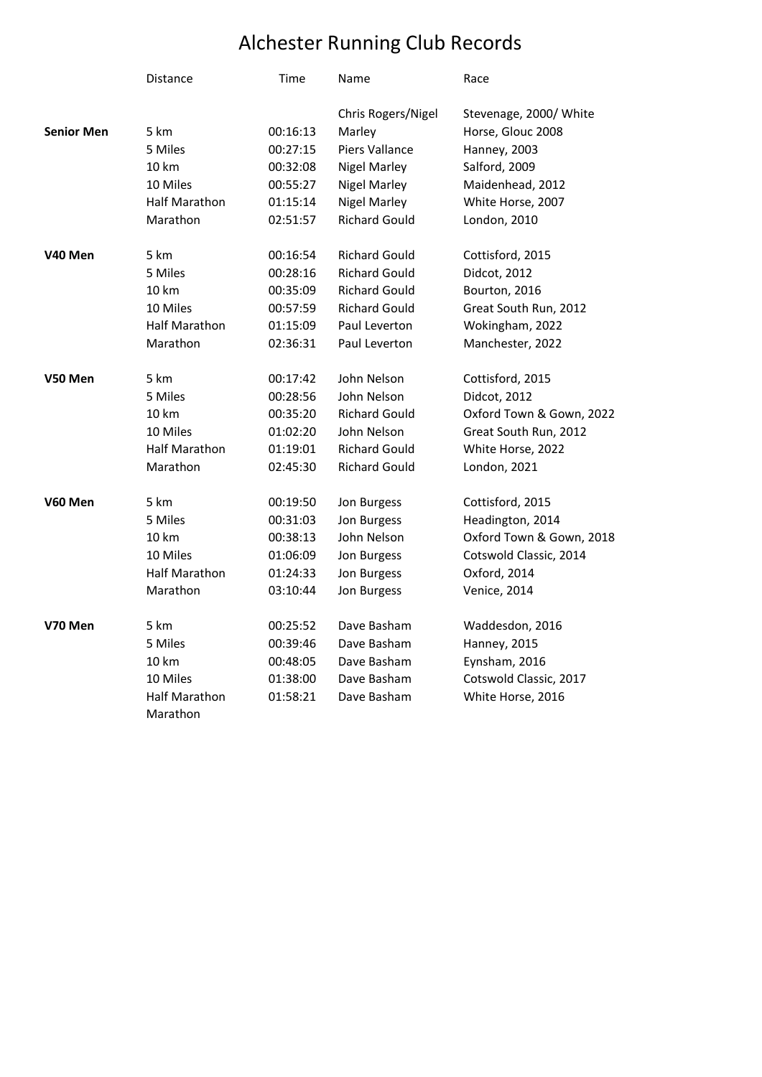## Alchester Running Club Records

|                   | <b>Distance</b>      | Time     | Name                 | Race                     |
|-------------------|----------------------|----------|----------------------|--------------------------|
|                   |                      |          | Chris Rogers/Nigel   | Stevenage, 2000/ White   |
| <b>Senior Men</b> | 5 km                 | 00:16:13 | Marley               | Horse, Glouc 2008        |
|                   | 5 Miles              | 00:27:15 | Piers Vallance       | Hanney, 2003             |
|                   | 10 km                | 00:32:08 | <b>Nigel Marley</b>  | Salford, 2009            |
|                   | 10 Miles             | 00:55:27 | <b>Nigel Marley</b>  | Maidenhead, 2012         |
|                   | <b>Half Marathon</b> | 01:15:14 | <b>Nigel Marley</b>  | White Horse, 2007        |
|                   | Marathon             | 02:51:57 | <b>Richard Gould</b> | London, 2010             |
| V40 Men           | 5 km                 | 00:16:54 | <b>Richard Gould</b> | Cottisford, 2015         |
|                   | 5 Miles              | 00:28:16 | <b>Richard Gould</b> | Didcot, 2012             |
|                   | 10 km                | 00:35:09 | <b>Richard Gould</b> | Bourton, 2016            |
|                   | 10 Miles             | 00:57:59 | <b>Richard Gould</b> | Great South Run, 2012    |
|                   | <b>Half Marathon</b> | 01:15:09 | Paul Leverton        | Wokingham, 2022          |
|                   | Marathon             | 02:36:31 | Paul Leverton        | Manchester, 2022         |
| V50 Men           | 5 km                 | 00:17:42 | John Nelson          | Cottisford, 2015         |
|                   | 5 Miles              | 00:28:56 | John Nelson          | Didcot, 2012             |
|                   | 10 km                | 00:35:20 | <b>Richard Gould</b> | Oxford Town & Gown, 2022 |
|                   | 10 Miles             | 01:02:20 | John Nelson          | Great South Run, 2012    |
|                   | <b>Half Marathon</b> | 01:19:01 | <b>Richard Gould</b> | White Horse, 2022        |
|                   | Marathon             | 02:45:30 | <b>Richard Gould</b> | London, 2021             |
| V60 Men           | 5 km                 | 00:19:50 | Jon Burgess          | Cottisford, 2015         |
|                   | 5 Miles              | 00:31:03 | Jon Burgess          | Headington, 2014         |
|                   | 10 km                | 00:38:13 | John Nelson          | Oxford Town & Gown, 2018 |
|                   | 10 Miles             | 01:06:09 | Jon Burgess          | Cotswold Classic, 2014   |
|                   | Half Marathon        | 01:24:33 | Jon Burgess          | Oxford, 2014             |
|                   | Marathon             | 03:10:44 | Jon Burgess          | Venice, 2014             |
| V70 Men           | 5 km                 | 00:25:52 | Dave Basham          | Waddesdon, 2016          |
|                   | 5 Miles              | 00:39:46 | Dave Basham          | Hanney, 2015             |
|                   | 10 km                | 00:48:05 | Dave Basham          | Eynsham, 2016            |
|                   | 10 Miles             | 01:38:00 | Dave Basham          | Cotswold Classic, 2017   |
|                   | <b>Half Marathon</b> | 01:58:21 | Dave Basham          | White Horse, 2016        |
|                   | Marathon             |          |                      |                          |